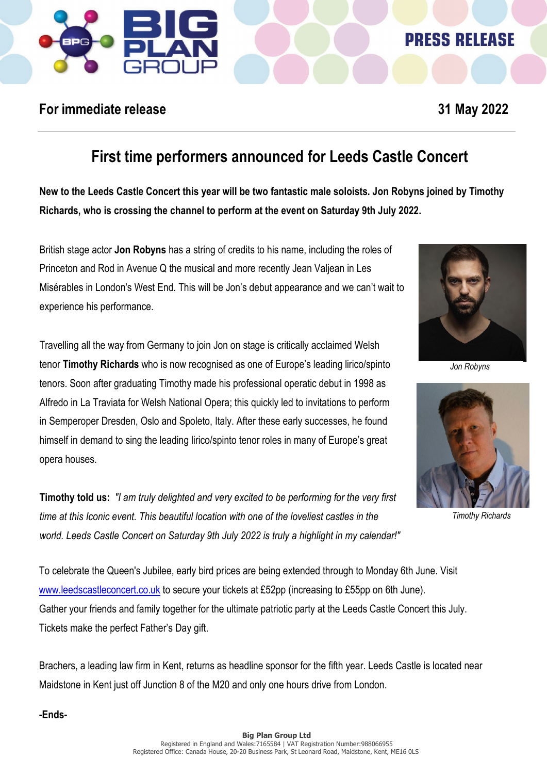

## **PRESS RELEASE**

### **For immediate release 31 May 2022**

# **First time performers announced for Leeds Castle Concert**

**New to the Leeds Castle Concert this year will be two fantastic male soloists. Jon Robyns joined by Timothy Richards, who is crossing the channel to perform at the event on Saturday 9th July 2022.** 

British stage actor **Jon Robyns** has a string of credits to his name, including the roles of Princeton and Rod in Avenue Q the musical and more recently Jean Valjean in Les Misérables in London's West End. This will be Jon's debut appearance and we can't wait to experience his performance.

Travelling all the way from Germany to join Jon on stage is critically acclaimed Welsh tenor **Timothy Richards** who is now recognised as one of Europe's leading lirico/spinto tenors. Soon after graduating Timothy made his professional operatic debut in 1998 as Alfredo in La Traviata for Welsh National Opera; this quickly led to invitations to perform in Semperoper Dresden, Oslo and Spoleto, Italy. After these early successes, he found himself in demand to sing the leading lirico/spinto tenor roles in many of Europe's great opera houses.

**Timothy told us:** *"I am truly delighted and very excited to be performing for the very first time at this Iconic event. This beautiful location with one of the loveliest castles in the world. Leeds Castle Concert on Saturday 9th July 2022 is truly a highlight in my calendar!"*

To celebrate the Queen's Jubilee, early bird prices are being extended through to Monday 6th June. Visit [www.leedscastleconcert.co.uk](http://www.leedscastleconcert.co.ukt/) to secure your tickets at £52pp (increasing to £55pp on 6th June). Gather your friends and family together for the ultimate patriotic party at the Leeds Castle Concert this July. Tickets make the perfect Father's Day gift.

Brachers, a leading law firm in Kent, returns as headline sponsor for the fifth year. Leeds Castle is located near Maidstone in Kent just off Junction 8 of the M20 and only one hours drive from London.

**-Ends-**



*Jon Robyns*



*Timothy Richards*